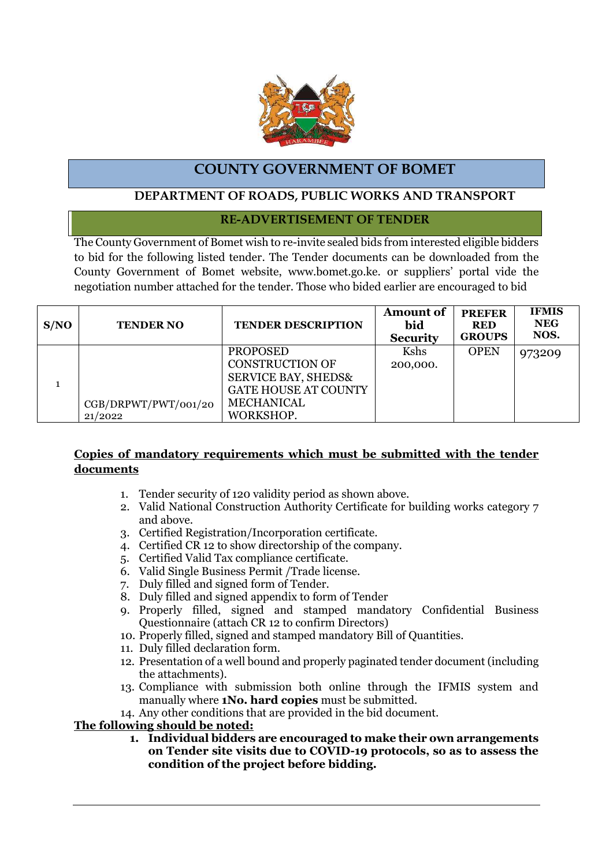

# **COUNTY GOVERNMENT OF BOMET**

## **DEPARTMENT OF ROADS, PUBLIC WORKS AND TRANSPORT**

## **RE-ADVERTISEMENT OF TENDER**

The County Government of Bomet wish to re-invite sealed bids from interested eligible bidders to bid for the following listed tender. The Tender documents can be downloaded from the County Government of Bomet website, www.bomet.go.ke. or suppliers' portal vide the negotiation number attached for the tender. Those who bided earlier are encouraged to bid

| S/NO | <b>TENDER NO</b>                | <b>TENDER DESCRIPTION</b>                                                                                                                    | <b>Amount of</b><br>bid<br><b>Security</b> | <b>PREFER</b><br><b>RED</b><br><b>GROUPS</b> | <b>IFMIS</b><br><b>NEG</b><br>NOS. |
|------|---------------------------------|----------------------------------------------------------------------------------------------------------------------------------------------|--------------------------------------------|----------------------------------------------|------------------------------------|
|      | CGB/DRPWT/PWT/001/20<br>21/2022 | <b>PROPOSED</b><br><b>CONSTRUCTION OF</b><br><b>SERVICE BAY, SHEDS&amp;</b><br><b>GATE HOUSE AT COUNTY</b><br><b>MECHANICAL</b><br>WORKSHOP. | Kshs<br>200,000.                           | <b>OPEN</b>                                  | 973209                             |

### **Copies of mandatory requirements which must be submitted with the tender documents**

- 1. Tender security of 120 validity period as shown above.
- 2. Valid National Construction Authority Certificate for building works category 7 and above.
- 3. Certified Registration/Incorporation certificate.
- 4. Certified CR 12 to show directorship of the company.
- 5. Certified Valid Tax compliance certificate.
- 6. Valid Single Business Permit /Trade license.
- 7. Duly filled and signed form of Tender.
- 8. Duly filled and signed appendix to form of Tender
- 9. Properly filled, signed and stamped mandatory Confidential Business Questionnaire (attach CR 12 to confirm Directors)
- 10. Properly filled, signed and stamped mandatory Bill of Quantities.
- 11. Duly filled declaration form.
- 12. Presentation of a well bound and properly paginated tender document (including the attachments).
- 13. Compliance with submission both online through the IFMIS system and manually where **1No. hard copies** must be submitted.
- 14. Any other conditions that are provided in the bid document.

### **The following should be noted:**

**1. Individual bidders are encouraged to make their own arrangements on Tender site visits due to COVID-19 protocols, so as to assess the condition of the project before bidding.**